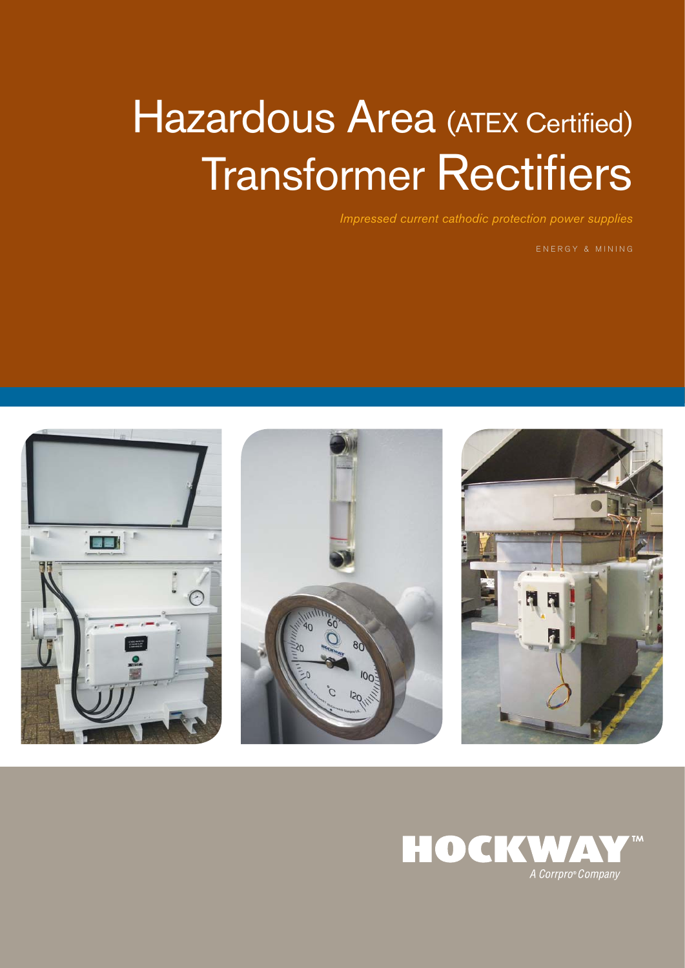# Hazardous Area (ATEX Certified) **Transformer Rectifiers**

Impressed current cathodic protection power supplies

ENERGY & MINING







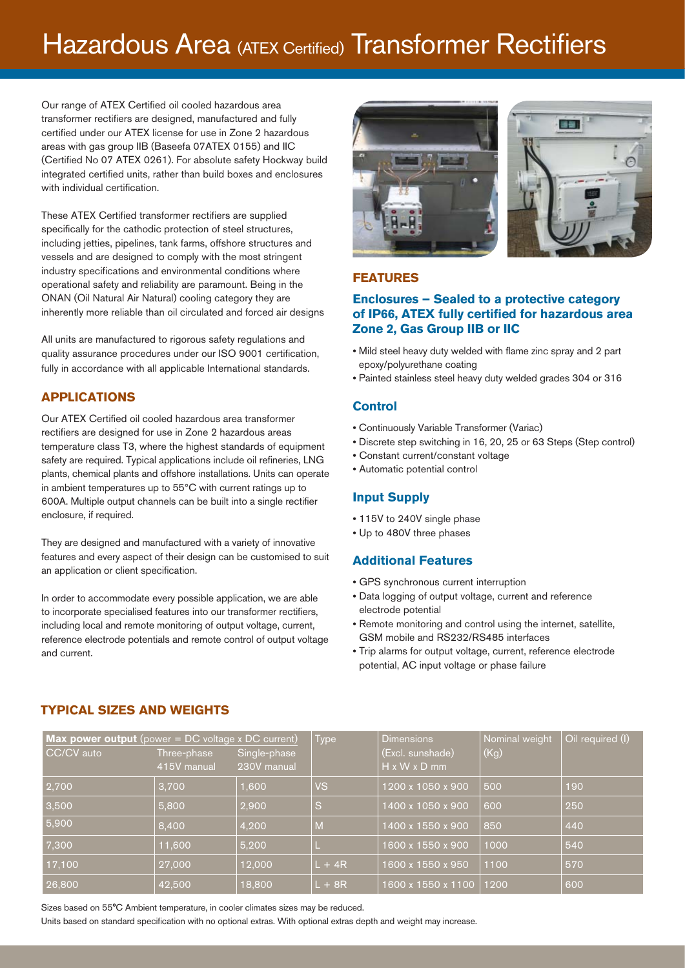# Hazardous Area (ATEX Certified) Transformer Rectifiers

Our range of ATEX Certified oil cooled hazardous area transformer rectifiers are designed, manufactured and fully certified under our ATEX license for use in Zone 2 hazardous areas with gas group IIB (Baseefa 07ATEX 0155) and IIC (Certified No 07 ATEX 0261). For absolute safety Hockway build integrated certified units, rather than build boxes and enclosures with individual certification.

These ATEX Certified transformer rectifiers are supplied specifically for the cathodic protection of steel structures, including jetties, pipelines, tank farms, offshore structures and vessels and are designed to comply with the most stringent industry specifications and environmental conditions where operational safety and reliability are paramount. Being in the ONAN (Oil Natural Air Natural) cooling category they are inherently more reliable than oil circulated and forced air designs

All units are manufactured to rigorous safety regulations and quality assurance procedures under our ISO 9001 certification, fully in accordance with all applicable International standards.

#### **APPLICATIONS**

Our ATEX Certified oil cooled hazardous area transformer rectifiers are designed for use in Zone 2 hazardous areas temperature class T3, where the highest standards of equipment safety are required. Typical applications include oil refineries, LNG plants, chemical plants and offshore installations. Units can operate in ambient temperatures up to 55°C with current ratings up to 600A. Multiple output channels can be built into a single rectifier enclosure, if required.

They are designed and manufactured with a variety of innovative features and every aspect of their design can be customised to suit an application or client specification.

In order to accommodate every possible application, we are able to incorporate specialised features into our transformer rectifiers, including local and remote monitoring of output voltage, current, reference electrode potentials and remote control of output voltage and current.



### **FEATURES**

#### **Enclosures – Sealed to a protective category of IP66, ATEX fully certified for hazardous area Zone 2, Gas Group IIB or IIC**

- Mild steel heavy duty welded with flame zinc spray and 2 part epoxy/polyurethane coating
- Painted stainless steel heavy duty welded grades 304 or 316

#### **Control**

- Continuously Variable Transformer (Variac)
- Discrete step switching in 16, 20, 25 or 63 Steps (Step control)
- Constant current/constant voltage
- Automatic potential control

#### **Input Supply**

- 115V to 240V single phase
- Up to 480V three phases

#### **Additional Features**

- GPS synchronous current interruption
- Data logging of output voltage, current and reference electrode potential
- Remote monitoring and control using the internet, satellite, GSM mobile and RS232/RS485 interfaces
- Trip alarms for output voltage, current, reference electrode potential, AC input voltage or phase failure

| <b>Max power output</b> (power $= DC$ voltage x DC current) |             |              | <b>Type</b> | <b>Dimensions</b>        | Nominal weight | Oil required (I) |
|-------------------------------------------------------------|-------------|--------------|-------------|--------------------------|----------------|------------------|
| CC/CV auto                                                  | Three-phase | Single-phase |             | (Excl. sunshade)         | (Kg)           |                  |
|                                                             | 415V manual | 230V manual  |             | $H \times W \times D$ mm |                |                  |
| 2,700                                                       | 3,700       | 006,         | <b>VS</b>   | 1200 x 1050 x 900        | 500            | 190              |
| 3,500                                                       | 5,800       | 2,900        | 'S          | 1400 x 1050 x 900        | 600            | 250              |
| 5,900                                                       | 8,400       | 4,200        | M           | 1400 x 1550 x 900        | 850            | 440              |
| 7,300                                                       | 11,600      | 5,200        |             | 1600 x 1550 x 900        | 1000           | 540              |
| 17,100                                                      | 27,000      | 12,000       | $L + 4R$    | 1600 x 1550 x 950        | 1100           | 570              |
| 26,800                                                      | 42,500      | 18,800       | $L + 8R$    | 1600 x 1550 x 1100       | 1200           | 600              |

#### **TYPICAL SIZES AND WEIGHTS**

Sizes based on 55°C Ambient temperature, in cooler climates sizes may be reduced.

Units based on standard specification with no optional extras. With optional extras depth and weight may increase.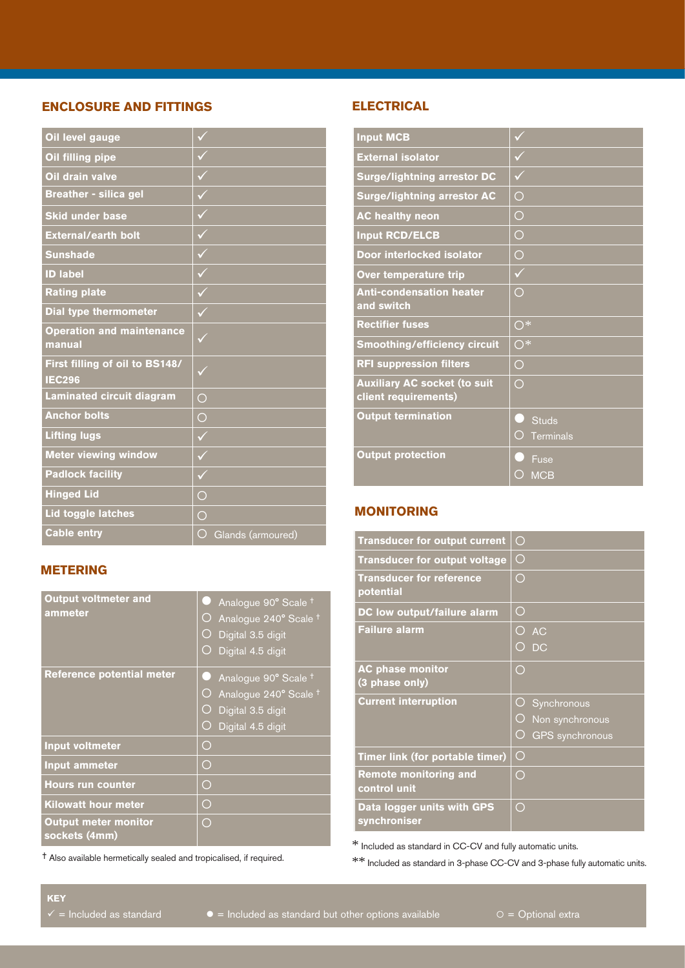### **ENCLOSURE AND FITTINGS**

| Oil level gauge                                 | $\checkmark$                    |
|-------------------------------------------------|---------------------------------|
| Oil filling pipe                                |                                 |
| Oil drain valve                                 | $\checkmark$                    |
| <b>Breather - silica gel</b>                    | $\sqrt{}$                       |
| <b>Skid under base</b>                          | $\blacktriangledown$            |
| <b>External/earth bolt</b>                      | $\checkmark$                    |
| <b>Sunshade</b>                                 | $\checkmark$                    |
| <b>ID label</b>                                 | $\checkmark$                    |
| <b>Rating plate</b>                             | $\checkmark$                    |
| <b>Dial type thermometer</b>                    | $\checkmark$                    |
| <b>Operation and maintenance</b><br>manual      | $\checkmark$                    |
| First filling of oil to BS148/<br><b>IEC296</b> |                                 |
| <b>Laminated circuit diagram</b>                | $\bigcirc$                      |
| <b>Anchor bolts</b>                             | $\bigcirc$                      |
| <b>Lifting lugs</b>                             | $\checkmark$                    |
| <b>Meter viewing window</b>                     | $\checkmark$                    |
| <b>Padlock facility</b>                         | ✓                               |
| <b>Hinged Lid</b>                               | $\bigcirc$                      |
| Lid toggle latches                              | $\bigcirc$                      |
| <b>Cable entry</b>                              | $\bigcirc$<br>Glands (armoured) |

# **METERING**

| <b>Output voltmeter and</b><br>ammeter       | Analogue 90° Scale <sup>+</sup><br>Analogue 240° Scale <sup>+</sup><br>O<br>Digital 3.5 digit<br>Digital 4.5 digit      |
|----------------------------------------------|-------------------------------------------------------------------------------------------------------------------------|
| <b>Reference potential meter</b>             | Analogue 90° Scale <sup>+</sup><br>Analogue 240° Scale <sup>+</sup><br>O<br>Digital 3.5 digit<br>O<br>Digital 4.5 digit |
| <b>Input voltmeter</b>                       | ◯                                                                                                                       |
| <b>Input ammeter</b>                         | ◯                                                                                                                       |
| <b>Hours run counter</b>                     | O                                                                                                                       |
| <b>Kilowatt hour meter</b>                   | O                                                                                                                       |
| <b>Output meter monitor</b><br>sockets (4mm) | ◯                                                                                                                       |

† Also available hermetically sealed and tropicalised, if required.

#### **ELECTRICAL**

| <b>Input MCB</b>                                            |                                       |
|-------------------------------------------------------------|---------------------------------------|
| <b>External isolator</b>                                    | ✓                                     |
| <b>Surge/lightning arrestor DC</b>                          | $\checkmark$                          |
| <b>Surge/lightning arrestor AC</b>                          | $\bigcirc$                            |
| <b>AC healthy neon</b>                                      | ◯                                     |
| <b>Input RCD/ELCB</b>                                       | $\bigcirc$                            |
| Door interlocked isolator                                   | $\overline{O}$                        |
| Over temperature trip                                       | $\checkmark$                          |
| <b>Anti-condensation heater</b><br>and switch               | $\bigcirc$                            |
| <b>Rectifier fuses</b>                                      | $\overline{\bigcirc^*}$               |
| <b>Smoothing/efficiency circuit</b>                         | $\bigcirc^*$                          |
| <b>RFI suppression filters</b>                              | ◯                                     |
| <b>Auxiliary AC socket (to suit</b><br>client requirements) | ◯                                     |
| <b>Output termination</b>                                   | <b>Studs</b><br>◯<br><b>Terminals</b> |
| <b>Output protection</b>                                    | Fuse<br><b>MCB</b>                    |

# **MONITORING**

| <b>Transducer for output current</b>         | O                           |
|----------------------------------------------|-----------------------------|
| <b>Transducer for output voltage</b>         | O                           |
| <b>Transducer for reference</b><br>potential | O                           |
| DC low output/failure alarm                  | O                           |
| <b>Failure alarm</b>                         | ◯<br><b>AC</b>              |
|                                              | $\bigcap$<br><b>DC</b>      |
| <b>AC phase monitor</b><br>(3 phase only)    | $\bigcirc$                  |
| <b>Current interruption</b>                  | $\bigcirc$<br>Synchronous   |
|                                              | O<br>Non synchronous        |
|                                              | O<br><b>GPS</b> synchronous |
| Timer link (for portable timer)              | $\bigcirc$                  |
| <b>Remote monitoring and</b><br>control unit | ◯                           |
| Data logger units with GPS<br>synchroniser   | ◯                           |

\* Included as standard in CC-CV and fully automatic units.

 $\ast\ast$  Included as standard in 3-phase CC-CV and 3-phase fully automatic units.

**KEY**